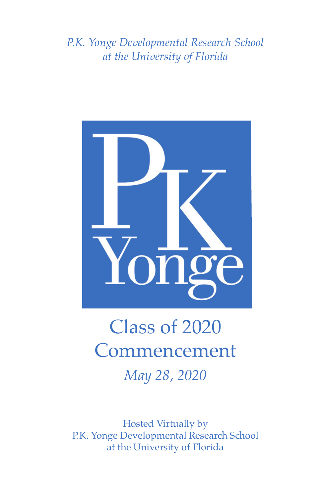*P.K. Yonge Developmental Research School at the University of Florida*



# Class of 2020 **Commencement** *May 28, 2020*

Hosted Virtually by P.K. Yonge Developmental Research School at the University of Florida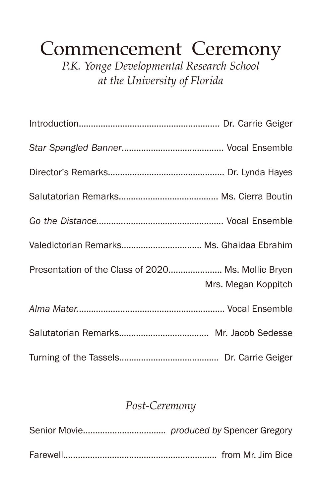# Commencement Ceremony

*P.K. Yonge Developmental Research School at the University of Florida*

| Valedictorian Remarks Ms. Ghaidaa Ebrahim                                 |
|---------------------------------------------------------------------------|
| Presentation of the Class of 2020 Ms. Mollie Bryen<br>Mrs. Megan Koppitch |
|                                                                           |
|                                                                           |
|                                                                           |

#### *Post-Ceremony*

Senior Movie.................................. *produced by* Spencer Gregory Farewell............................................................... from Mr. Jim Bice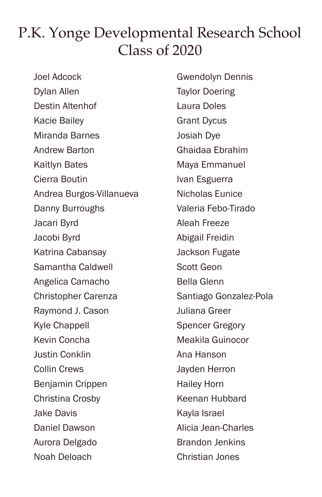#### P.K. Yonge Developmental Research School Class of 2020

Joel Adcock Dylan Allen Destin Altenhof Kacie Bailey Miranda Barnes Andrew Barton Kaitlyn Bates Cierra Boutin Andrea Burgos-Villanueva Danny Burroughs Jacari Byrd Jacobi Byrd Katrina Cabansay Samantha Caldwell Angelica Camacho Christopher Carenza Raymond J. Cason Kyle Chappell Kevin Concha Justin Conklin Collin Crews Benjamin Crippen Christina Crosby Jake Davis Daniel Dawson Aurora Delgado Noah Deloach

Gwendolyn Dennis Taylor Doering Laura Doles Grant Dycus Josiah Dye Ghaidaa Ebrahim Maya Emmanuel Ivan Esguerra Nicholas Eunice Valeria Febo-Tirado Aleah Freeze Abigail Freidin Jackson Fugate Scott Geon Bella Glenn Santiago Gonzalez-Pola Juliana Greer Spencer Gregory Meakila Guinocor Ana Hanson Jayden Herron Hailey Horn Keenan Hubbard Kayla Israel Alicia Jean-Charles Brandon Jenkins Christian Jones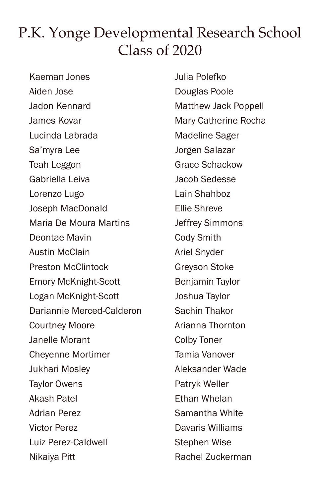### P.K. Yonge Developmental Research School Class of 2020

Kaeman Jones Aiden Jose Jadon Kennard James Kovar Lucinda Labrada Sa'myra Lee Teah Leggon Gabriella Leiva Lorenzo Lugo Joseph MacDonald Maria De Moura Martins Deontae Mavin Austin McClain Preston McClintock Emory McKnight-Scott Logan McKnight-Scott Dariannie Merced-Calderon Courtney Moore Janelle Morant Cheyenne Mortimer Jukhari Mosley Taylor Owens Akash Patel Adrian Perez Victor Perez Luiz Perez-Caldwell Nikaiya Pitt

Julia Polefko Douglas Poole Matthew Jack Poppell Mary Catherine Rocha Madeline Sager Jorgen Salazar Grace Schackow Jacob Sedesse Lain Shahboz Ellie Shreve Jeffrey Simmons Cody Smith Ariel Snyder Greyson Stoke Benjamin Taylor Joshua Taylor Sachin Thakor Arianna Thornton Colby Toner Tamia Vanover Aleksander Wade Patryk Weller Ethan Whelan Samantha White Davaris Williams Stephen Wise Rachel Zuckerman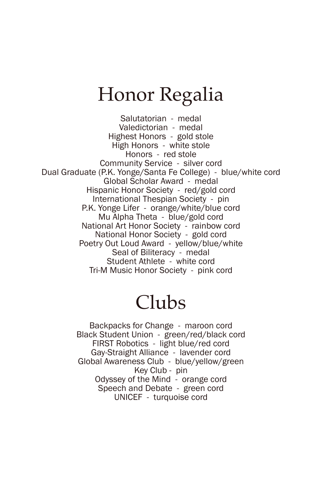# Honor Regalia

Salutatorian - medal Valedictorian - medal Highest Honors - gold stole High Honors - white stole Honors - red stole Community Service - silver cord Dual Graduate (P.K. Yonge/Santa Fe College) - blue/white cord Global Scholar Award - medal Hispanic Honor Society - red/gold cord International Thespian Society - pin P.K. Yonge Lifer - orange/white/blue cord Mu Alpha Theta - blue/gold cord National Art Honor Society - rainbow cord National Honor Society - gold cord Poetry Out Loud Award - yellow/blue/white Seal of Biliteracy - medal Student Athlete - white cord Tri-M Music Honor Society - pink cord

### Clubs

Backpacks for Change - maroon cord Black Student Union - green/red/black cord FIRST Robotics - light blue/red cord Gay-Straight Alliance - lavender cord Global Awareness Club - blue/yellow/green Key Club - pin Odyssey of the Mind - orange cord Speech and Debate - green cord UNICEF - turquoise cord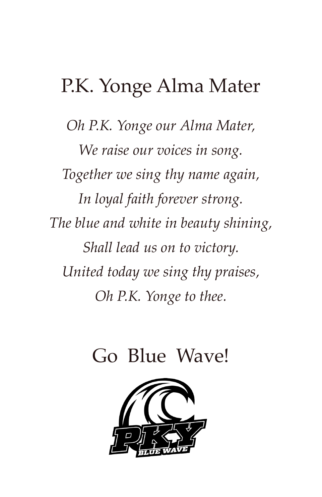# P.K. Yonge Alma Mater

*Oh P.K. Yonge our Alma Mater, We raise our voices in song. Together we sing thy name again, In loyal faith forever strong. The blue and white in beauty shining, Shall lead us on to victory. United today we sing thy praises, Oh P.K. Yonge to thee.*

# Go Blue Wave!